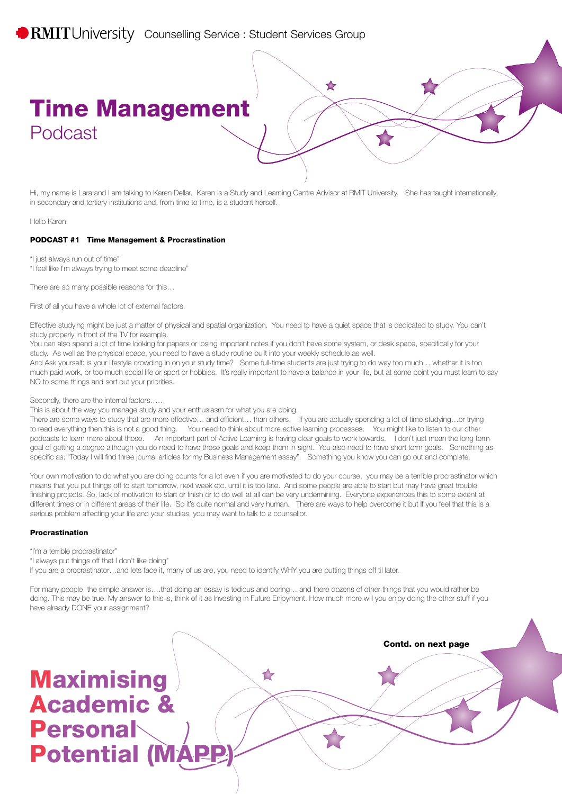Hi, my name is Lara and I am talking to Karen Dellar. Karen is a Study and Learning Centre Advisor at RMIT University. She has taught internationally, in secondary and tertiary institutions and, from time to time, is a student herself.

 $\blacktriangleright$ 

Hello Karen.

#### PODCAST #1 Time Management & Procrastination

"I just always run out of time"

"I feel like I'm always trying to meet some deadline"

There are so many possible reasons for this…

First of all you have a whole lot of external factors.

Effective studying might be just a matter of physical and spatial organization. You need to have a quiet space that is dedicated to study. You can't study properly in front of the TV for example.

You can also spend a lot of time looking for papers or losing important notes if you don't have some system, or desk space, specifically for your study. As well as the physical space, you need to have a study routine built into your weekly schedule as well.

And Ask yourself: is your lifestyle crowding in on your study time? Some full-time students are just trying to do way too much… whether it is too much paid work, or too much social life or sport or hobbies. It's really important to have a balance in your life, but at some point you must learn to say NO to some things and sort out your priorities.

Secondly, there are the internal factors……

This is about the way you manage study and your enthusiasm for what you are doing.

There are some ways to study that are more effective… and efficient… than others. If you are actually spending a lot of time studying…or trying to read everything then this is not a good thing. You need to think about more active learning processes. You might like to listen to our other podcasts to learn more about these. An important part of Active Learning is having clear goals to work towards. I don't just mean the long term goal of getting a degree although you do need to have these goals and keep them in sight. You also need to have short term goals. Something as specific as: "Today I will find three journal articles for my Business Management essay". Something you know you can go out and complete.

Your own motivation to do what you are doing counts for a lot even if you are motivated to do your course, you may be a terrible procrastinator which means that you put things off to start tomorrow, next week etc. until it is too late. And some people are able to start but may have great trouble finishing projects. So, lack of motivation to start or finish or to do well at all can be very undermining. Everyone experiences this to some extent at different times or in different areas of their life. So it's quite normal and very human. There are ways to help overcome it but If you feel that this is a serious problem affecting your life and your studies, you may want to talk to a counsellor.

### Procrastination

"I'm a terrible procrastinator"

"I always put things off that I don't like doing"

If you are a procrastinator…and lets face it, many of us are, you need to identify WHY you are putting things off til later.

For many people, the simple answer is….that doing an essay is tedious and boring… and there dozens of other things that you would rather be doing. This may be true. My answer to this is, think of it as Investing in Future Enjoyment. How much more will you enjoy doing the other stuff if you have already DONE your assignment?

## Contd. on next page **Maximising**  $\blacktriangleright$ Academic & **Personal Potential (MAP**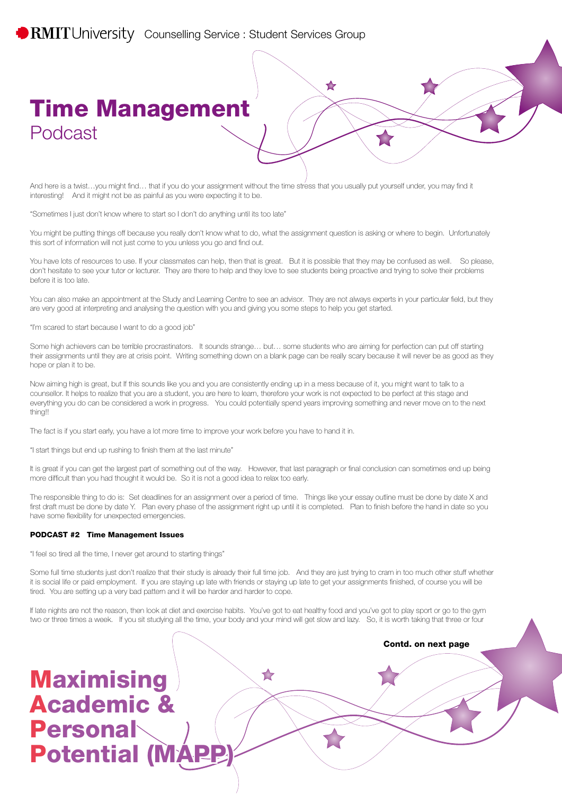And here is a twist...you might find... that if you do your assignment without the time stress that you usually put yourself under, you may find it interesting! And it might not be as painful as you were expecting it to be.

 $\blacktriangleright$ 

"Sometimes I just don't know where to start so I don't do anything until its too late"

You might be putting things off because you really don't know what to do, what the assignment question is asking or where to begin. Unfortunately this sort of information will not just come to you unless you go and find out.

You have lots of resources to use. If your classmates can help, then that is great. But it is possible that they may be confused as well. So please, don't hesitate to see your tutor or lecturer. They are there to help and they love to see students being proactive and trying to solve their problems before it is too late.

You can also make an appointment at the Study and Learning Centre to see an advisor. They are not always experts in your particular field, but they are very good at interpreting and analysing the question with you and giving you some steps to help you get started.

"I'm scared to start because I want to do a good job"

Some high achievers can be terrible procrastinators. It sounds strange… but… some students who are aiming for perfection can put off starting their assignments until they are at crisis point. Writing something down on a blank page can be really scary because it will never be as good as they hope or plan it to be.

Now aiming high is great, but If this sounds like you and you are consistently ending up in a mess because of it, you might want to talk to a counsellor. It helps to realize that you are a student, you are here to learn, therefore your work is not expected to be perfect at this stage and everything you do can be considered a work in progress. You could potentially spend years improving something and never move on to the next thing!!

The fact is if you start early, you have a lot more time to improve your work before you have to hand it in.

"I start things but end up rushing to finish them at the last minute"

It is great if you can get the largest part of something out of the way. However, that last paragraph or final conclusion can sometimes end up being more difficult than you had thought it would be. So it is not a good idea to relax too early.

The responsible thing to do is: Set deadlines for an assignment over a period of time. Things like your essay outline must be done by date X and first draft must be done by date Y. Plan every phase of the assignment right up until it is completed. Plan to finish before the hand in date so you have some flexibility for unexpected emergencies.

#### PODCAST #2 Time Management Issues

"I feel so tired all the time, I never get around to starting things"

Some full time students just don't realize that their study is already their full time job. And they are just trying to cram in too much other stuff whether it is social life or paid employment. If you are staying up late with friends or staying up late to get your assignments finished, of course you will be tired. You are setting up a very bad pattern and it will be harder and harder to cope.

If late nights are not the reason, then look at diet and exercise habits. You've got to eat healthy food and you've got to play sport or go to the gym two or three times a week. If you sit studying all the time, your body and your mind will get slow and lazy. So, it is worth taking that three or four

 $\blacktriangleright$ 

Contd. on next page

# **Maximising** Academic & **Personal Potential (MAP**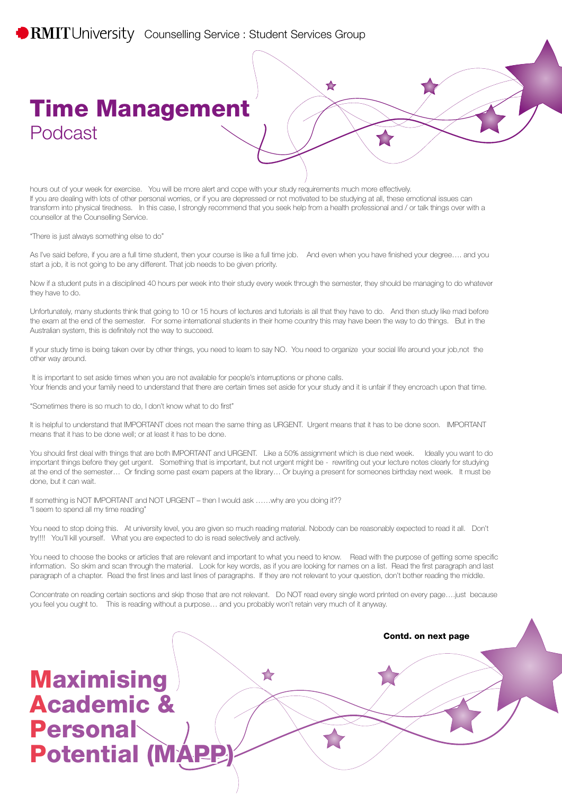hours out of your week for exercise. You will be more alert and cope with your study requirements much more effectively. If you are dealing with lots of other personal worries, or if you are depressed or not motivated to be studying at all, these emotional issues can transform into physical tiredness. In this case, I strongly recommend that you seek help from a health professional and / or talk things over with a counsellor at the Counselling Service.

 $\blacktriangleright$ 

"There is just always something else to do"

As I've said before, if you are a full time student, then your course is like a full time job. And even when you have finished your degree…. and you start a job, it is not going to be any different. That job needs to be given priority.

Now if a student puts in a disciplined 40 hours per week into their study every week through the semester, they should be managing to do whatever they have to do.

Unfortunately, many students think that going to 10 or 15 hours of lectures and tutorials is all that they have to do. And then study like mad before the exam at the end of the semester. For some international students in their home country this may have been the way to do things. But in the Australian system, this is definitely not the way to succeed.

If your study time is being taken over by other things, you need to learn to say NO. You need to organize your social life around your job,not the other way around.

It is important to set aside times when you are not available for people's interruptions or phone calls. Your friends and your family need to understand that there are certain times set aside for your study and it is unfair if they encroach upon that time.

"Sometimes there is so much to do, I don't know what to do first"

It is helpful to understand that IMPORTANT does not mean the same thing as URGENT. Urgent means that it has to be done soon. IMPORTANT means that it has to be done well; or at least it has to be done.

You should first deal with things that are both IMPORTANT and URGENT. Like a 50% assignment which is due next week. Ideally you want to do important things before they get urgent. Something that is important, but not urgent might be - rewriting out your lecture notes clearly for studying at the end of the semester… Or finding some past exam papers at the library… Or buying a present for someones birthday next week. It must be done, but it can wait.

If something is NOT IMPORTANT and NOT URGENT – then I would ask ......why are you doing it?? "I seem to spend all my time reading"

You need to stop doing this. At university level, you are given so much reading material. Nobody can be reasonably expected to read it all. Don't try!!!! You'll kill yourself. What you are expected to do is read selectively and actively.

You need to choose the books or articles that are relevant and important to what you need to know. Read with the purpose of getting some specific information. So skim and scan through the material. Look for key words, as if you are looking for names on a list. Read the first paragraph and last paragraph of a chapter. Read the first lines and last lines of paragraphs. If they are not relevant to your question, don't bother reading the middle.

Concentrate on reading certain sections and skip those that are not relevant. Do NOT read every single word printed on every page….just because you feel you ought to. This is reading without a purpose… and you probably won't retain very much of it anyway.

Contd. on next page **Maximising**  $\blacktriangleright$ Academic & **Personal Potential (MAP**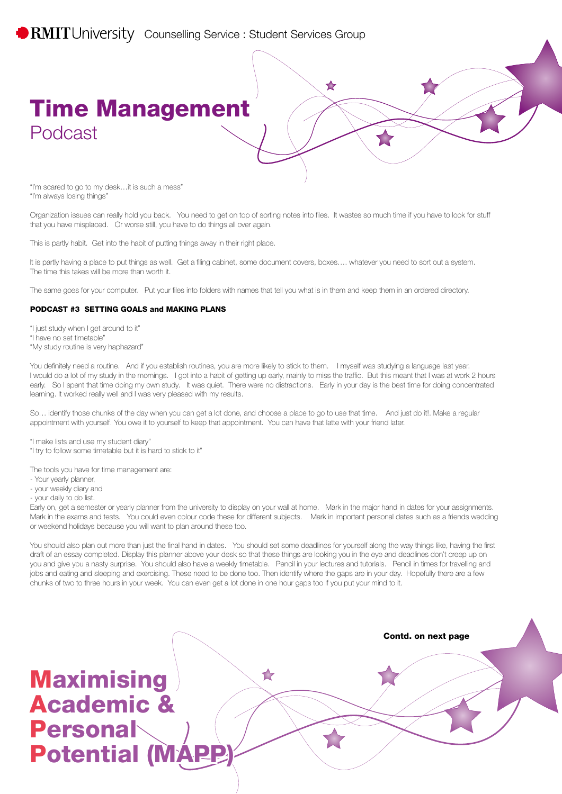

"I'm scared to go to my desk…it is such a mess" "I'm always losing things"

Organization issues can really hold you back. You need to get on top of sorting notes into files. It wastes so much time if you have to look for stuff that you have misplaced. Or worse still, you have to do things all over again.

This is partly habit. Get into the habit of putting things away in their right place.

It is partly having a place to put things as well. Get a filing cabinet, some document covers, boxes…. whatever you need to sort out a system. The time this takes will be more than worth it.

The same goes for your computer. Put your files into folders with names that tell you what is in them and keep them in an ordered directory.

### PODCAST #3 SETTING GOALS and MAKING PLANS

"I just study when I get around to it"

"I have no set timetable"

"My study routine is very haphazard"

You definitely need a routine. And if you establish routines, you are more likely to stick to them. I myself was studying a language last year. I would do a lot of my study in the momings. I got into a habit of getting up early, mainly to miss the traffic. But this meant that I was at work 2 hours early. So I spent that time doing my own study. It was quiet. There were no distractions. Early in your day is the best time for doing concentrated learning. It worked really well and I was very pleased with my results.

So… identify those chunks of the day when you can get a lot done, and choose a place to go to use that time. And just do it!. Make a regular appointment with yourself. You owe it to yourself to keep that appointment. You can have that latte with your friend later.

"I make lists and use my student diary"

"I try to follow some timetable but it is hard to stick to it"

The tools you have for time management are:

- Your yearly planner,
- your weekly diary and
- your daily to do list.

Early on, get a semester or yearly planner from the university to display on your wall at home. Mark in the major hand in dates for your assignments. Mark in the exams and tests. You could even colour code these for different subjects. Mark in important personal dates such as a friends wedding or weekend holidays because you will want to plan around these too.

You should also plan out more than just the final hand in dates. You should set some deadlines for yourself along the way things like, having the first draft of an essay completed. Display this planner above your desk so that these things are looking you in the eye and deadlines don't creep up on you and give you a nasty surprise. You should also have a weekly timetable. Pencil in your lectures and tutorials. Pencil in times for travelling and jobs and eating and sleeping and exercising. These need to be done too. Then identify where the gaps are in your day. Hopefully there are a few chunks of two to three hours in your week. You can even get a lot done in one hour gaps too if you put your mind to it.